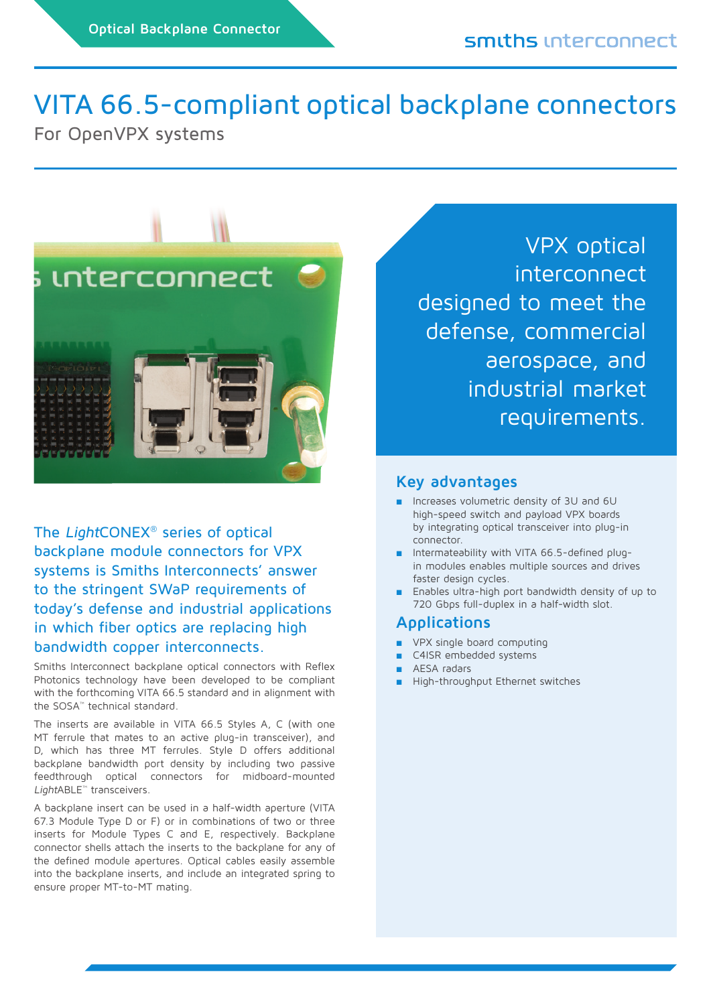# VITA 66.5-compliant optical backplane connectors

For OpenVPX systems



The LightCONEX® series of optical backplane module connectors for VPX systems is Smiths Interconnects' answer to the stringent SWaP requirements of today's defense and industrial applications in which fiber optics are replacing high bandwidth copper interconnects.

Smiths Interconnect backplane optical connectors with Reflex Photonics technology have been developed to be compliant with the forthcoming VITA 66.5 standard and in alignment with the SOSA™ technical standard.

The inserts are available in VITA 66.5 Styles A, C (with one MT ferrule that mates to an active plug-in transceiver), and D, which has three MT ferrules. Style D offers additional backplane bandwidth port density by including two passive feedthrough optical connectors for midboard-mounted LightABLE™ transceivers.

A backplane insert can be used in a half-width aperture (VITA 67.3 Module Type D or F) or in combinations of two or three inserts for Module Types C and E, respectively. Backplane connector shells attach the inserts to the backplane for any of the defined module apertures. Optical cables easily assemble into the backplane inserts, and include an integrated spring to ensure proper MT-to-MT mating.

VPX optical interconnect designed to meet the defense, commercial aerospace, and industrial market requirements.

### **Key advantages**

- Increases volumetric density of 3U and 6U high-speed switch and payload VPX boards by integrating optical transceiver into plug-in connector.
- Intermateability with VITA 66.5-defined plugin modules enables multiple sources and drives faster design cycles.
- Enables ultra-high port bandwidth density of up to 720 Gbps full-duplex in a half-width slot.

#### **Applications**

- VPX single board computing
- C4ISR embedded systems
- AESA radars
- High-throughput Ethernet switches